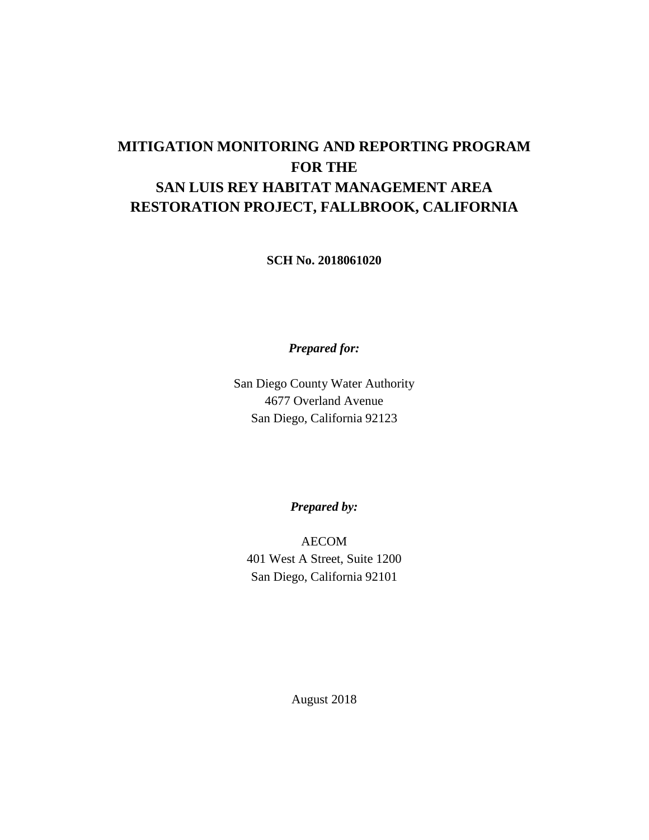## **MITIGATION MONITORING AND REPORTING PROGRAM FOR THE SAN LUIS REY HABITAT MANAGEMENT AREA RESTORATION PROJECT, FALLBROOK, CALIFORNIA**

**SCH No. 2018061020**

*Prepared for:*

San Diego County Water Authority 4677 Overland Avenue San Diego, California 92123

*Prepared by:*

AECOM 401 West A Street, Suite 1200 San Diego, California 92101

August 2018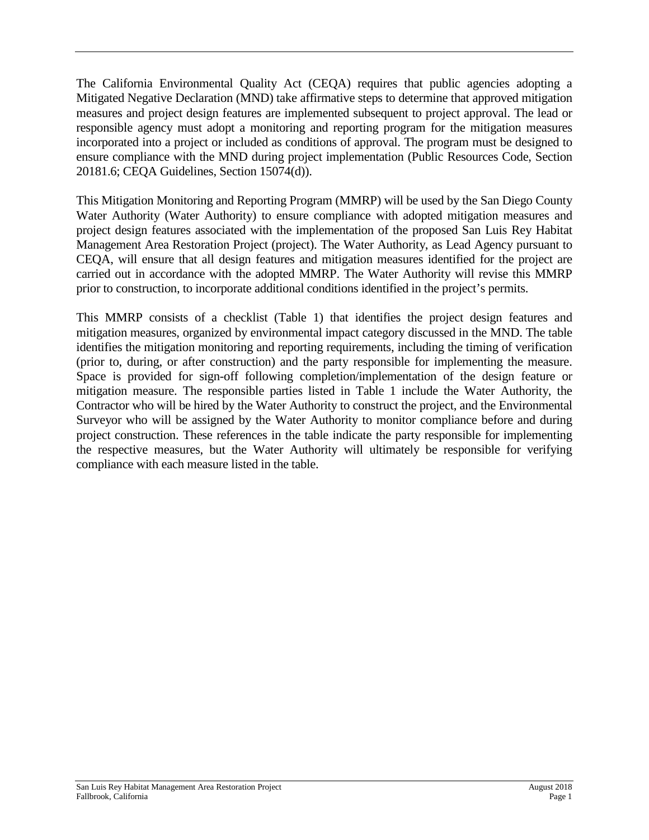The California Environmental Quality Act (CEQA) requires that public agencies adopting a Mitigated Negative Declaration (MND) take affirmative steps to determine that approved mitigation measures and project design features are implemented subsequent to project approval. The lead or responsible agency must adopt a monitoring and reporting program for the mitigation measures incorporated into a project or included as conditions of approval. The program must be designed to ensure compliance with the MND during project implementation (Public Resources Code, Section 20181.6; CEQA Guidelines, Section 15074(d)).

This Mitigation Monitoring and Reporting Program (MMRP) will be used by the San Diego County Water Authority (Water Authority) to ensure compliance with adopted mitigation measures and project design features associated with the implementation of the proposed San Luis Rey Habitat Management Area Restoration Project (project). The Water Authority, as Lead Agency pursuant to CEQA, will ensure that all design features and mitigation measures identified for the project are carried out in accordance with the adopted MMRP. The Water Authority will revise this MMRP prior to construction, to incorporate additional conditions identified in the project's permits.

This MMRP consists of a checklist (Table 1) that identifies the project design features and mitigation measures, organized by environmental impact category discussed in the MND. The table identifies the mitigation monitoring and reporting requirements, including the timing of verification (prior to, during, or after construction) and the party responsible for implementing the measure. Space is provided for sign-off following completion/implementation of the design feature or mitigation measure. The responsible parties listed in Table 1 include the Water Authority, the Contractor who will be hired by the Water Authority to construct the project, and the Environmental Surveyor who will be assigned by the Water Authority to monitor compliance before and during project construction. These references in the table indicate the party responsible for implementing the respective measures, but the Water Authority will ultimately be responsible for verifying compliance with each measure listed in the table.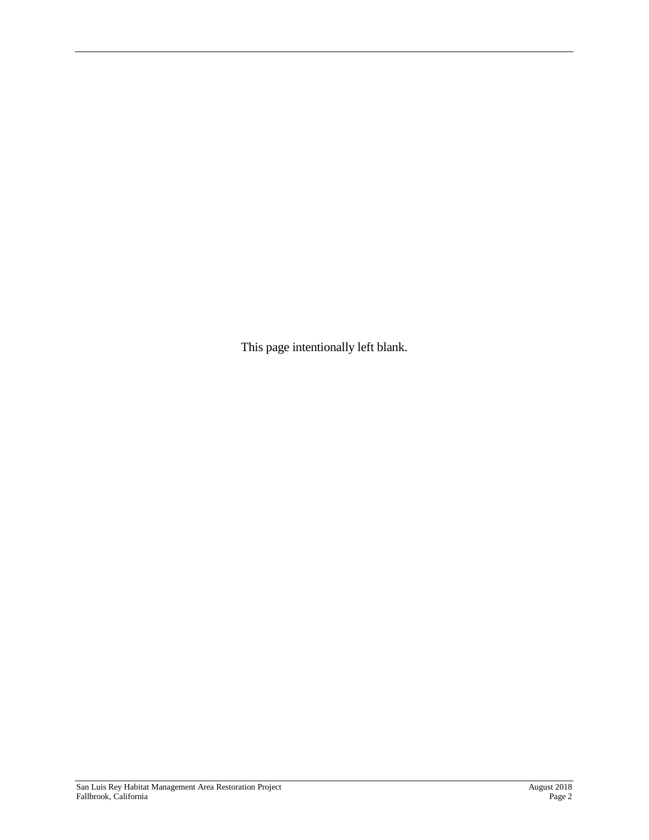This page intentionally left blank.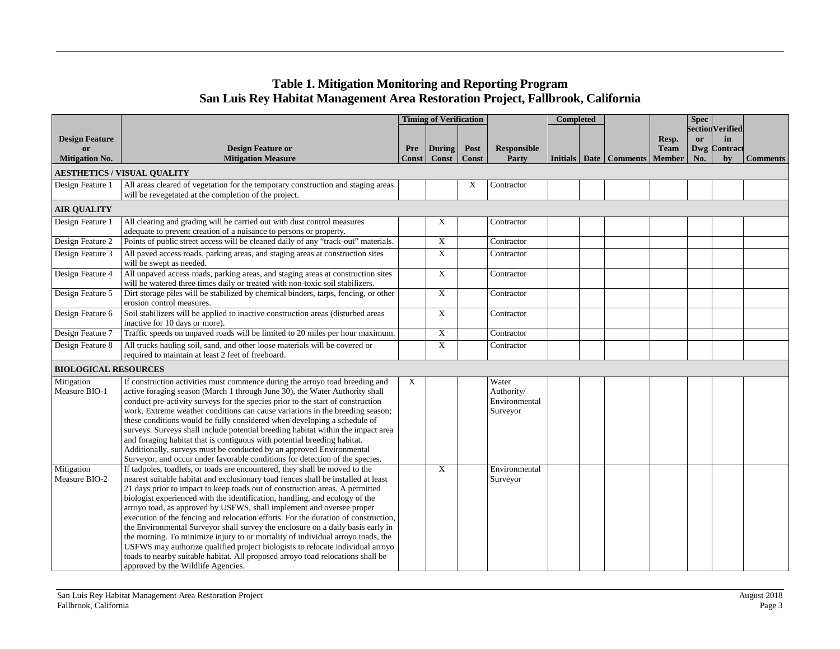## **Table 1. Mitigation Monitoring and Reporting Program San Luis Rey Habitat Management Area Restoration Project, Fallbrook, California**

|                             |                                                                                                                                                                       |              | <b>Timing of Verification</b> |               |               | <b>Completed</b> |                            |               | <b>Spec</b> |                         |                 |
|-----------------------------|-----------------------------------------------------------------------------------------------------------------------------------------------------------------------|--------------|-------------------------------|---------------|---------------|------------------|----------------------------|---------------|-------------|-------------------------|-----------------|
|                             |                                                                                                                                                                       |              |                               |               |               |                  |                            |               |             | <b>Section Verified</b> |                 |
| <b>Design Feature</b>       |                                                                                                                                                                       |              |                               |               |               |                  |                            | Resp.         | or          | in                      |                 |
| <sub>or</sub>               | <b>Design Feature or</b>                                                                                                                                              | <b>Pre</b>   | <b>During</b>                 | Post<br>Const | Responsible   |                  |                            | <b>Team</b>   | Dwg         | Contract                |                 |
| <b>Mitigation No.</b>       | <b>Mitigation Measure</b>                                                                                                                                             | <b>Const</b> | Const                         |               | Party         |                  | Initials   Date   Comments | <b>Member</b> | No.         | bv                      | <b>Comments</b> |
|                             | <b>AESTHETICS / VISUAL QUALITY</b>                                                                                                                                    |              |                               |               |               |                  |                            |               |             |                         |                 |
| Design Feature 1            | All areas cleared of vegetation for the temporary construction and staging areas<br>will be revegetated at the completion of the project.                             |              |                               | X             | Contractor    |                  |                            |               |             |                         |                 |
| <b>AIR QUALITY</b>          |                                                                                                                                                                       |              |                               |               |               |                  |                            |               |             |                         |                 |
| Design Feature 1            | All clearing and grading will be carried out with dust control measures<br>adequate to prevent creation of a nuisance to persons or property.                         |              | X                             |               | Contractor    |                  |                            |               |             |                         |                 |
| Design Feature 2            | Points of public street access will be cleaned daily of any "track-out" materials.                                                                                    |              | X                             |               | Contractor    |                  |                            |               |             |                         |                 |
| Design Feature 3            | All paved access roads, parking areas, and staging areas at construction sites                                                                                        |              | $\mathbf X$                   |               | Contractor    |                  |                            |               |             |                         |                 |
|                             | will be swept as needed.                                                                                                                                              |              |                               |               |               |                  |                            |               |             |                         |                 |
| Design Feature 4            | All unpaved access roads, parking areas, and staging areas at construction sites<br>will be watered three times daily or treated with non-toxic soil stabilizers.     |              | $\mathbf X$                   |               | Contractor    |                  |                            |               |             |                         |                 |
| Design Feature 5            | Dirt storage piles will be stabilized by chemical binders, tarps, fencing, or other<br>erosion control measures.                                                      |              | $\mathbf X$                   |               | Contractor    |                  |                            |               |             |                         |                 |
| Design Feature 6            | Soil stabilizers will be applied to inactive construction areas (disturbed areas<br>inactive for 10 days or more).                                                    |              | X                             |               | Contractor    |                  |                            |               |             |                         |                 |
| Design Feature 7            | Traffic speeds on unpaved roads will be limited to 20 miles per hour maximum.                                                                                         |              | $\overline{X}$                |               | Contractor    |                  |                            |               |             |                         |                 |
| Design Feature 8            | All trucks hauling soil, sand, and other loose materials will be covered or<br>required to maintain at least 2 feet of freeboard.                                     |              | X                             |               | Contractor    |                  |                            |               |             |                         |                 |
| <b>BIOLOGICAL RESOURCES</b> |                                                                                                                                                                       |              |                               |               |               |                  |                            |               |             |                         |                 |
| Mitigation                  | If construction activities must commence during the arroyo toad breeding and                                                                                          | X            |                               |               | Water         |                  |                            |               |             |                         |                 |
| Measure BIO-1               | active foraging season (March 1 through June 30), the Water Authority shall                                                                                           |              |                               |               | Authority/    |                  |                            |               |             |                         |                 |
|                             | conduct pre-activity surveys for the species prior to the start of construction                                                                                       |              |                               |               | Environmental |                  |                            |               |             |                         |                 |
|                             | work. Extreme weather conditions can cause variations in the breeding season;                                                                                         |              |                               |               | Surveyor      |                  |                            |               |             |                         |                 |
|                             | these conditions would be fully considered when developing a schedule of                                                                                              |              |                               |               |               |                  |                            |               |             |                         |                 |
|                             | surveys. Surveys shall include potential breeding habitat within the impact area                                                                                      |              |                               |               |               |                  |                            |               |             |                         |                 |
|                             | and foraging habitat that is contiguous with potential breeding habitat.                                                                                              |              |                               |               |               |                  |                            |               |             |                         |                 |
|                             | Additionally, surveys must be conducted by an approved Environmental                                                                                                  |              |                               |               |               |                  |                            |               |             |                         |                 |
|                             | Surveyor, and occur under favorable conditions for detection of the species.                                                                                          |              |                               |               |               |                  |                            |               |             |                         |                 |
| Mitigation                  | If tadpoles, toadlets, or toads are encountered, they shall be moved to the                                                                                           |              | $\mathbf X$                   |               | Environmental |                  |                            |               |             |                         |                 |
| Measure BIO-2               | nearest suitable habitat and exclusionary toad fences shall be installed at least                                                                                     |              |                               |               | Surveyor      |                  |                            |               |             |                         |                 |
|                             | 21 days prior to impact to keep toads out of construction areas. A permitted                                                                                          |              |                               |               |               |                  |                            |               |             |                         |                 |
|                             | biologist experienced with the identification, handling, and ecology of the                                                                                           |              |                               |               |               |                  |                            |               |             |                         |                 |
|                             | arroyo toad, as approved by USFWS, shall implement and oversee proper                                                                                                 |              |                               |               |               |                  |                            |               |             |                         |                 |
|                             | execution of the fencing and relocation efforts. For the duration of construction,<br>the Environmental Surveyor shall survey the enclosure on a daily basis early in |              |                               |               |               |                  |                            |               |             |                         |                 |
|                             | the morning. To minimize injury to or mortality of individual arroyo toads, the                                                                                       |              |                               |               |               |                  |                            |               |             |                         |                 |
|                             | USFWS may authorize qualified project biologists to relocate individual arroyo                                                                                        |              |                               |               |               |                  |                            |               |             |                         |                 |
|                             | toads to nearby suitable habitat. All proposed arroyo toad relocations shall be                                                                                       |              |                               |               |               |                  |                            |               |             |                         |                 |
|                             | approved by the Wildlife Agencies.                                                                                                                                    |              |                               |               |               |                  |                            |               |             |                         |                 |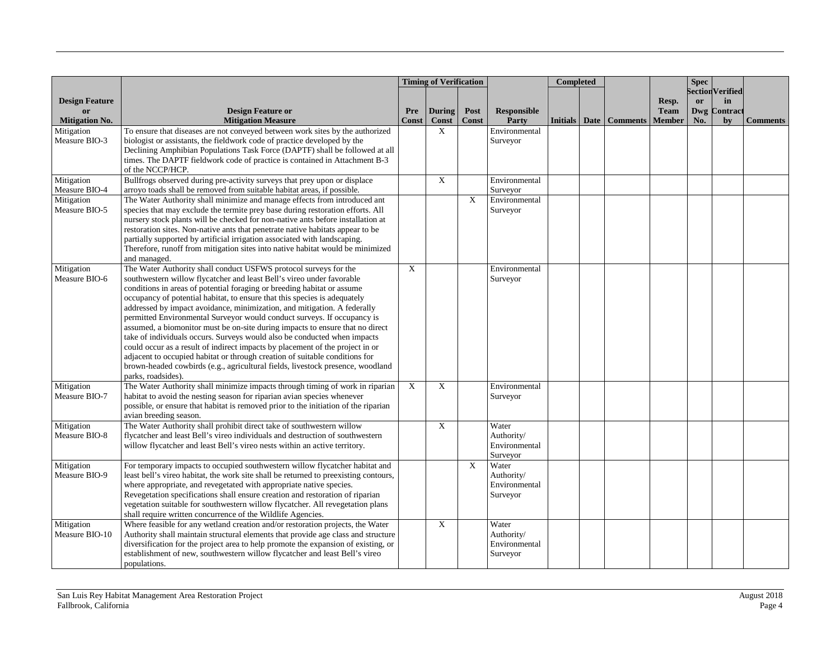|                       |                                                                                                                                                           | <b>Timing of Verification</b> |               |                           | <b>Completed</b>   |  |                            | <b>Spec</b>   |           |                        |                 |
|-----------------------|-----------------------------------------------------------------------------------------------------------------------------------------------------------|-------------------------------|---------------|---------------------------|--------------------|--|----------------------------|---------------|-----------|------------------------|-----------------|
|                       |                                                                                                                                                           |                               |               |                           |                    |  |                            |               |           | <b>SectionVerified</b> |                 |
| <b>Design Feature</b> |                                                                                                                                                           |                               |               |                           |                    |  |                            | Resp.         | <b>or</b> | in                     |                 |
| or                    | <b>Design Feature or</b>                                                                                                                                  | Pre                           | <b>During</b> | Post                      | <b>Responsible</b> |  |                            | <b>Team</b>   | Dwg C     | <b>contrac</b> t       |                 |
| <b>Mitigation No.</b> | <b>Mitigation Measure</b>                                                                                                                                 | Const                         | Const         | Const                     | Party              |  | Initials   Date   Comments | <b>Member</b> | No.       | by                     | <b>Comments</b> |
| Mitigation            | To ensure that diseases are not conveyed between work sites by the authorized                                                                             |                               | X             |                           | Environmental      |  |                            |               |           |                        |                 |
| Measure BIO-3         | biologist or assistants, the fieldwork code of practice developed by the                                                                                  |                               |               |                           | Surveyor           |  |                            |               |           |                        |                 |
|                       | Declining Amphibian Populations Task Force (DAPTF) shall be followed at all                                                                               |                               |               |                           |                    |  |                            |               |           |                        |                 |
|                       | times. The DAPTF fieldwork code of practice is contained in Attachment B-3                                                                                |                               |               |                           |                    |  |                            |               |           |                        |                 |
|                       | of the NCCP/HCP.                                                                                                                                          |                               |               |                           |                    |  |                            |               |           |                        |                 |
| Mitigation            | Bullfrogs observed during pre-activity surveys that prey upon or displace                                                                                 |                               | X             |                           | Environmental      |  |                            |               |           |                        |                 |
| Measure BIO-4         | arroyo toads shall be removed from suitable habitat areas, if possible.                                                                                   |                               |               |                           | Surveyor           |  |                            |               |           |                        |                 |
| Mitigation            | The Water Authority shall minimize and manage effects from introduced ant                                                                                 |                               |               | $\mathbf{X}$              | Environmental      |  |                            |               |           |                        |                 |
| Measure BIO-5         | species that may exclude the termite prey base during restoration efforts. All                                                                            |                               |               |                           | Surveyor           |  |                            |               |           |                        |                 |
|                       | nursery stock plants will be checked for non-native ants before installation at                                                                           |                               |               |                           |                    |  |                            |               |           |                        |                 |
|                       | restoration sites. Non-native ants that penetrate native habitats appear to be                                                                            |                               |               |                           |                    |  |                            |               |           |                        |                 |
|                       | partially supported by artificial irrigation associated with landscaping.                                                                                 |                               |               |                           |                    |  |                            |               |           |                        |                 |
|                       | Therefore, runoff from mitigation sites into native habitat would be minimized                                                                            |                               |               |                           |                    |  |                            |               |           |                        |                 |
|                       | and managed.                                                                                                                                              |                               |               |                           |                    |  |                            |               |           |                        |                 |
| Mitigation            | The Water Authority shall conduct USFWS protocol surveys for the                                                                                          | X                             |               |                           | Environmental      |  |                            |               |           |                        |                 |
| Measure BIO-6         | southwestern willow flycatcher and least Bell's vireo under favorable                                                                                     |                               |               |                           | Surveyor           |  |                            |               |           |                        |                 |
|                       | conditions in areas of potential foraging or breeding habitat or assume                                                                                   |                               |               |                           |                    |  |                            |               |           |                        |                 |
|                       | occupancy of potential habitat, to ensure that this species is adequately                                                                                 |                               |               |                           |                    |  |                            |               |           |                        |                 |
|                       | addressed by impact avoidance, minimization, and mitigation. A federally                                                                                  |                               |               |                           |                    |  |                            |               |           |                        |                 |
|                       | permitted Environmental Surveyor would conduct surveys. If occupancy is                                                                                   |                               |               |                           |                    |  |                            |               |           |                        |                 |
|                       | assumed, a biomonitor must be on-site during impacts to ensure that no direct                                                                             |                               |               |                           |                    |  |                            |               |           |                        |                 |
|                       | take of individuals occurs. Surveys would also be conducted when impacts<br>could occur as a result of indirect impacts by placement of the project in or |                               |               |                           |                    |  |                            |               |           |                        |                 |
|                       | adjacent to occupied habitat or through creation of suitable conditions for                                                                               |                               |               |                           |                    |  |                            |               |           |                        |                 |
|                       | brown-headed cowbirds (e.g., agricultural fields, livestock presence, woodland                                                                            |                               |               |                           |                    |  |                            |               |           |                        |                 |
|                       | parks, roadsides).                                                                                                                                        |                               |               |                           |                    |  |                            |               |           |                        |                 |
| Mitigation            | The Water Authority shall minimize impacts through timing of work in riparian                                                                             | X                             | X             |                           | Environmental      |  |                            |               |           |                        |                 |
| Measure BIO-7         | habitat to avoid the nesting season for riparian avian species whenever                                                                                   |                               |               |                           | Surveyor           |  |                            |               |           |                        |                 |
|                       | possible, or ensure that habitat is removed prior to the initiation of the riparian                                                                       |                               |               |                           |                    |  |                            |               |           |                        |                 |
|                       | avian breeding season.                                                                                                                                    |                               |               |                           |                    |  |                            |               |           |                        |                 |
| Mitigation            | The Water Authority shall prohibit direct take of southwestern willow                                                                                     |                               | $\mathbf X$   |                           | Water              |  |                            |               |           |                        |                 |
| Measure BIO-8         | flycatcher and least Bell's vireo individuals and destruction of southwestern                                                                             |                               |               |                           | Authority/         |  |                            |               |           |                        |                 |
|                       | willow flycatcher and least Bell's vireo nests within an active territory.                                                                                |                               |               |                           | Environmental      |  |                            |               |           |                        |                 |
|                       |                                                                                                                                                           |                               |               |                           | Surveyor           |  |                            |               |           |                        |                 |
| Mitigation            | For temporary impacts to occupied southwestern willow flycatcher habitat and                                                                              |                               |               | $\boldsymbol{\mathrm{X}}$ | Water              |  |                            |               |           |                        |                 |
| Measure BIO-9         | least bell's vireo habitat, the work site shall be returned to preexisting contours,                                                                      |                               |               |                           | Authority/         |  |                            |               |           |                        |                 |
|                       | where appropriate, and revegetated with appropriate native species.                                                                                       |                               |               |                           | Environmental      |  |                            |               |           |                        |                 |
|                       | Revegetation specifications shall ensure creation and restoration of riparian                                                                             |                               |               |                           | Surveyor           |  |                            |               |           |                        |                 |
|                       | vegetation suitable for southwestern willow flycatcher. All revegetation plans                                                                            |                               |               |                           |                    |  |                            |               |           |                        |                 |
|                       | shall require written concurrence of the Wildlife Agencies.                                                                                               |                               |               |                           |                    |  |                            |               |           |                        |                 |
| Mitigation            | Where feasible for any wetland creation and/or restoration projects, the Water                                                                            |                               | X             |                           | Water              |  |                            |               |           |                        |                 |
| Measure BIO-10        | Authority shall maintain structural elements that provide age class and structure                                                                         |                               |               |                           | Authority/         |  |                            |               |           |                        |                 |
|                       | diversification for the project area to help promote the expansion of existing, or                                                                        |                               |               |                           | Environmental      |  |                            |               |           |                        |                 |
|                       | establishment of new, southwestern willow flycatcher and least Bell's vireo                                                                               |                               |               |                           | Surveyor           |  |                            |               |           |                        |                 |
|                       | populations.                                                                                                                                              |                               |               |                           |                    |  |                            |               |           |                        |                 |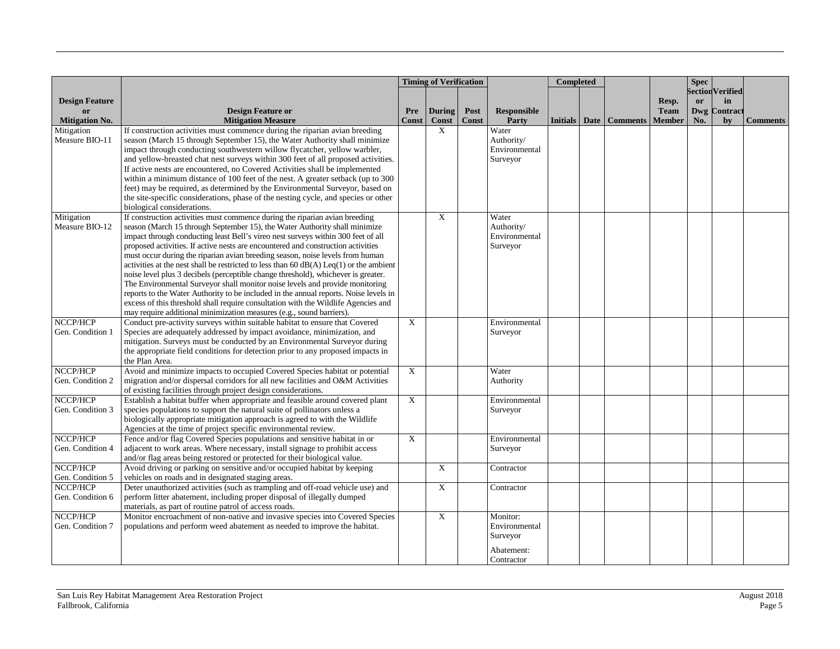|                       |                                                                                                                                                                   | <b>Timing of Verification</b> |               |              |                    |  | <b>Completed</b> |                            | <b>Spec</b>   |               |                         |                 |
|-----------------------|-------------------------------------------------------------------------------------------------------------------------------------------------------------------|-------------------------------|---------------|--------------|--------------------|--|------------------|----------------------------|---------------|---------------|-------------------------|-----------------|
|                       |                                                                                                                                                                   |                               |               |              |                    |  |                  |                            |               |               | <b>Section Verified</b> |                 |
| <b>Design Feature</b> |                                                                                                                                                                   |                               |               |              |                    |  |                  |                            | Resp.         | <sub>or</sub> | in                      |                 |
| or                    | <b>Design Feature or</b>                                                                                                                                          | Pre                           | <b>During</b> | Post         | <b>Responsible</b> |  |                  |                            | <b>Team</b>   | Dwg (         | <b>'ontrac</b> t        |                 |
| <b>Mitigation No.</b> | <b>Mitigation Measure</b>                                                                                                                                         | Const                         | <b>Const</b>  | <b>Const</b> | Party              |  |                  | Initials   Date   Comments | <b>Member</b> | No.           | bv                      | <b>Comments</b> |
| Mitigation            | If construction activities must commence during the riparian avian breeding                                                                                       |                               | X             |              | Water              |  |                  |                            |               |               |                         |                 |
| Measure BIO-11        | season (March 15 through September 15), the Water Authority shall minimize                                                                                        |                               |               |              | Authority/         |  |                  |                            |               |               |                         |                 |
|                       | impact through conducting southwestern willow flycatcher, yellow warbler,                                                                                         |                               |               |              | Environmental      |  |                  |                            |               |               |                         |                 |
|                       | and yellow-breasted chat nest surveys within 300 feet of all proposed activities.                                                                                 |                               |               |              | Surveyor           |  |                  |                            |               |               |                         |                 |
|                       | If active nests are encountered, no Covered Activities shall be implemented                                                                                       |                               |               |              |                    |  |                  |                            |               |               |                         |                 |
|                       | within a minimum distance of 100 feet of the nest. A greater setback (up to 300                                                                                   |                               |               |              |                    |  |                  |                            |               |               |                         |                 |
|                       | feet) may be required, as determined by the Environmental Surveyor, based on                                                                                      |                               |               |              |                    |  |                  |                            |               |               |                         |                 |
|                       | the site-specific considerations, phase of the nesting cycle, and species or other                                                                                |                               |               |              |                    |  |                  |                            |               |               |                         |                 |
|                       | biological considerations.                                                                                                                                        |                               |               |              |                    |  |                  |                            |               |               |                         |                 |
| Mitigation            | If construction activities must commence during the riparian avian breeding                                                                                       |                               | X             |              | Water              |  |                  |                            |               |               |                         |                 |
| Measure BIO-12        | season (March 15 through September 15), the Water Authority shall minimize                                                                                        |                               |               |              | Authority/         |  |                  |                            |               |               |                         |                 |
|                       | impact through conducting least Bell's vireo nest surveys within 300 feet of all                                                                                  |                               |               |              | Environmental      |  |                  |                            |               |               |                         |                 |
|                       | proposed activities. If active nests are encountered and construction activities<br>must occur during the riparian avian breeding season, noise levels from human |                               |               |              | Surveyor           |  |                  |                            |               |               |                         |                 |
|                       | activities at the nest shall be restricted to less than 60 $dB(A)$ Leq(1) or the ambient                                                                          |                               |               |              |                    |  |                  |                            |               |               |                         |                 |
|                       | noise level plus 3 decibels (perceptible change threshold), whichever is greater.                                                                                 |                               |               |              |                    |  |                  |                            |               |               |                         |                 |
|                       | The Environmental Surveyor shall monitor noise levels and provide monitoring                                                                                      |                               |               |              |                    |  |                  |                            |               |               |                         |                 |
|                       | reports to the Water Authority to be included in the annual reports. Noise levels in                                                                              |                               |               |              |                    |  |                  |                            |               |               |                         |                 |
|                       | excess of this threshold shall require consultation with the Wildlife Agencies and                                                                                |                               |               |              |                    |  |                  |                            |               |               |                         |                 |
|                       | may require additional minimization measures (e.g., sound barriers).                                                                                              |                               |               |              |                    |  |                  |                            |               |               |                         |                 |
| NCCP/HCP              | Conduct pre-activity surveys within suitable habitat to ensure that Covered                                                                                       | X                             |               |              | Environmental      |  |                  |                            |               |               |                         |                 |
| Gen. Condition 1      | Species are adequately addressed by impact avoidance, minimization, and                                                                                           |                               |               |              | Surveyor           |  |                  |                            |               |               |                         |                 |
|                       | mitigation. Surveys must be conducted by an Environmental Surveyor during                                                                                         |                               |               |              |                    |  |                  |                            |               |               |                         |                 |
|                       | the appropriate field conditions for detection prior to any proposed impacts in                                                                                   |                               |               |              |                    |  |                  |                            |               |               |                         |                 |
|                       | the Plan Area.                                                                                                                                                    |                               |               |              |                    |  |                  |                            |               |               |                         |                 |
| NCCP/HCP              | Avoid and minimize impacts to occupied Covered Species habitat or potential                                                                                       | X                             |               |              | Water              |  |                  |                            |               |               |                         |                 |
| Gen. Condition 2      | migration and/or dispersal corridors for all new facilities and O&M Activities                                                                                    |                               |               |              | Authority          |  |                  |                            |               |               |                         |                 |
|                       | of existing facilities through project design considerations.                                                                                                     |                               |               |              |                    |  |                  |                            |               |               |                         |                 |
| NCCP/HCP              | Establish a habitat buffer when appropriate and feasible around covered plant                                                                                     | X                             |               |              | Environmental      |  |                  |                            |               |               |                         |                 |
| Gen. Condition 3      | species populations to support the natural suite of pollinators unless a                                                                                          |                               |               |              | Surveyor           |  |                  |                            |               |               |                         |                 |
|                       | biologically appropriate mitigation approach is agreed to with the Wildlife                                                                                       |                               |               |              |                    |  |                  |                            |               |               |                         |                 |
| NCCP/HCP              | Agencies at the time of project specific environmental review.<br>Fence and/or flag Covered Species populations and sensitive habitat in or                       | $\overline{X}$                |               |              | Environmental      |  |                  |                            |               |               |                         |                 |
| Gen. Condition 4      | adjacent to work areas. Where necessary, install signage to prohibit access                                                                                       |                               |               |              | Surveyor           |  |                  |                            |               |               |                         |                 |
|                       | and/or flag areas being restored or protected for their biological value.                                                                                         |                               |               |              |                    |  |                  |                            |               |               |                         |                 |
| NCCP/HCP              | Avoid driving or parking on sensitive and/or occupied habitat by keeping                                                                                          |                               | X             |              | Contractor         |  |                  |                            |               |               |                         |                 |
| Gen. Condition 5      | vehicles on roads and in designated staging areas.                                                                                                                |                               |               |              |                    |  |                  |                            |               |               |                         |                 |
| NCCP/HCP              | Deter unauthorized activities (such as trampling and off-road vehicle use) and                                                                                    |                               | X             |              | Contractor         |  |                  |                            |               |               |                         |                 |
| Gen. Condition 6      | perform litter abatement, including proper disposal of illegally dumped                                                                                           |                               |               |              |                    |  |                  |                            |               |               |                         |                 |
|                       | materials, as part of routine patrol of access roads.                                                                                                             |                               |               |              |                    |  |                  |                            |               |               |                         |                 |
| NCCP/HCP              | Monitor encroachment of non-native and invasive species into Covered Species                                                                                      |                               | $\mathbf X$   |              | Monitor:           |  |                  |                            |               |               |                         |                 |
| Gen. Condition 7      | populations and perform weed abatement as needed to improve the habitat.                                                                                          |                               |               |              | Environmental      |  |                  |                            |               |               |                         |                 |
|                       |                                                                                                                                                                   |                               |               |              | Surveyor           |  |                  |                            |               |               |                         |                 |
|                       |                                                                                                                                                                   |                               |               |              | Abatement:         |  |                  |                            |               |               |                         |                 |
|                       |                                                                                                                                                                   |                               |               |              | Contractor         |  |                  |                            |               |               |                         |                 |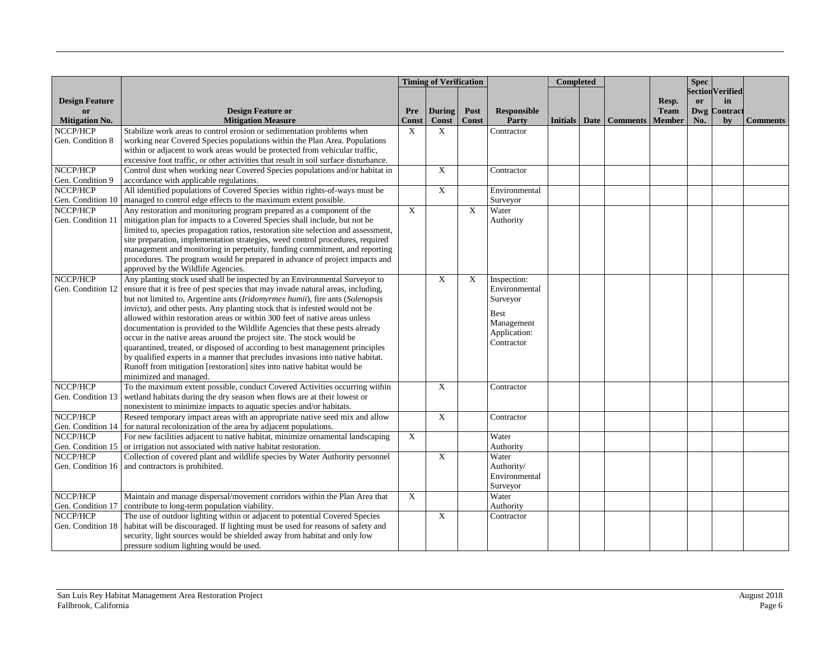| <b>Comments</b> |
|-----------------|
|                 |
|                 |
|                 |
|                 |
|                 |
|                 |
|                 |
|                 |
|                 |
|                 |
|                 |
|                 |
|                 |
|                 |
|                 |
|                 |
|                 |
|                 |
|                 |
|                 |
|                 |
|                 |
|                 |
|                 |
|                 |
|                 |
|                 |
|                 |
|                 |
|                 |
|                 |
|                 |
|                 |
|                 |
|                 |
|                 |
|                 |
|                 |
|                 |
|                 |
|                 |
|                 |
|                 |
|                 |
|                 |
|                 |
|                 |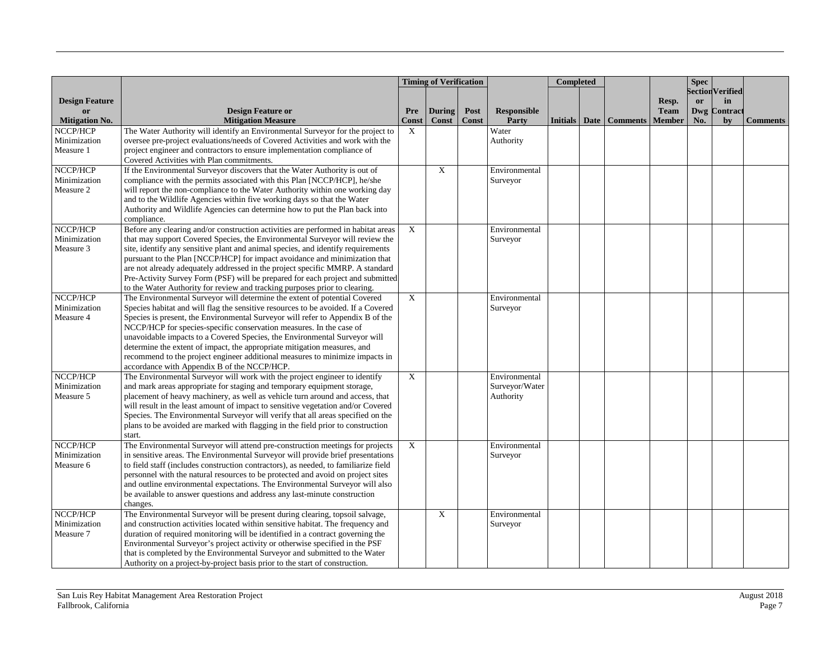|                       |                                                                                                                                                                 |             | <b>Timing of Verification</b> |       |                    | <b>Completed</b> |                            |               | <b>Spec</b> |                         |                 |
|-----------------------|-----------------------------------------------------------------------------------------------------------------------------------------------------------------|-------------|-------------------------------|-------|--------------------|------------------|----------------------------|---------------|-------------|-------------------------|-----------------|
|                       |                                                                                                                                                                 |             |                               |       |                    |                  |                            |               |             | <b>Section Verified</b> |                 |
| <b>Design Feature</b> |                                                                                                                                                                 |             |                               |       |                    |                  |                            | Resp.         | or          | in                      |                 |
| or                    | <b>Design Feature or</b>                                                                                                                                        | Pre         | <b>During</b>                 | Post  | <b>Responsible</b> |                  |                            | <b>Team</b>   | Dwg (       | <b>contrac</b> t        |                 |
| <b>Mitigation No.</b> | <b>Mitigation Measure</b>                                                                                                                                       | Const       | Const                         | Const | Party              |                  | Initials   Date   Comments | <b>Member</b> | No.         | by                      | <b>Comments</b> |
| NCCP/HCP              | The Water Authority will identify an Environmental Surveyor for the project to                                                                                  | X           |                               |       | Water              |                  |                            |               |             |                         |                 |
| Minimization          | oversee pre-project evaluations/needs of Covered Activities and work with the                                                                                   |             |                               |       | Authority          |                  |                            |               |             |                         |                 |
| Measure 1             | project engineer and contractors to ensure implementation compliance of                                                                                         |             |                               |       |                    |                  |                            |               |             |                         |                 |
|                       | Covered Activities with Plan commitments.                                                                                                                       |             |                               |       |                    |                  |                            |               |             |                         |                 |
| NCCP/HCP              | If the Environmental Surveyor discovers that the Water Authority is out of                                                                                      |             | $\overline{X}$                |       | Environmental      |                  |                            |               |             |                         |                 |
| Minimization          | compliance with the permits associated with this Plan [NCCP/HCP], he/she                                                                                        |             |                               |       | Surveyor           |                  |                            |               |             |                         |                 |
| Measure 2             | will report the non-compliance to the Water Authority within one working day                                                                                    |             |                               |       |                    |                  |                            |               |             |                         |                 |
|                       | and to the Wildlife Agencies within five working days so that the Water                                                                                         |             |                               |       |                    |                  |                            |               |             |                         |                 |
|                       | Authority and Wildlife Agencies can determine how to put the Plan back into                                                                                     |             |                               |       |                    |                  |                            |               |             |                         |                 |
|                       | compliance.                                                                                                                                                     |             |                               |       |                    |                  |                            |               |             |                         |                 |
| NCCP/HCP              | Before any clearing and/or construction activities are performed in habitat areas                                                                               | $\mathbf X$ |                               |       | Environmental      |                  |                            |               |             |                         |                 |
| Minimization          | that may support Covered Species, the Environmental Surveyor will review the                                                                                    |             |                               |       | Surveyor           |                  |                            |               |             |                         |                 |
| Measure 3             | site, identify any sensitive plant and animal species, and identify requirements                                                                                |             |                               |       |                    |                  |                            |               |             |                         |                 |
|                       | pursuant to the Plan [NCCP/HCP] for impact avoidance and minimization that                                                                                      |             |                               |       |                    |                  |                            |               |             |                         |                 |
|                       | are not already adequately addressed in the project specific MMRP. A standard<br>Pre-Activity Survey Form (PSF) will be prepared for each project and submitted |             |                               |       |                    |                  |                            |               |             |                         |                 |
|                       | to the Water Authority for review and tracking purposes prior to clearing.                                                                                      |             |                               |       |                    |                  |                            |               |             |                         |                 |
| NCCP/HCP              | The Environmental Surveyor will determine the extent of potential Covered                                                                                       | X           |                               |       | Environmental      |                  |                            |               |             |                         |                 |
| Minimization          | Species habitat and will flag the sensitive resources to be avoided. If a Covered                                                                               |             |                               |       | Surveyor           |                  |                            |               |             |                         |                 |
| Measure 4             | Species is present, the Environmental Surveyor will refer to Appendix B of the                                                                                  |             |                               |       |                    |                  |                            |               |             |                         |                 |
|                       | NCCP/HCP for species-specific conservation measures. In the case of                                                                                             |             |                               |       |                    |                  |                            |               |             |                         |                 |
|                       | unavoidable impacts to a Covered Species, the Environmental Surveyor will                                                                                       |             |                               |       |                    |                  |                            |               |             |                         |                 |
|                       | determine the extent of impact, the appropriate mitigation measures, and                                                                                        |             |                               |       |                    |                  |                            |               |             |                         |                 |
|                       | recommend to the project engineer additional measures to minimize impacts in                                                                                    |             |                               |       |                    |                  |                            |               |             |                         |                 |
|                       | accordance with Appendix B of the NCCP/HCP.                                                                                                                     |             |                               |       |                    |                  |                            |               |             |                         |                 |
| NCCP/HCP              | The Environmental Surveyor will work with the project engineer to identify                                                                                      | $\mathbf X$ |                               |       | Environmental      |                  |                            |               |             |                         |                 |
| Minimization          | and mark areas appropriate for staging and temporary equipment storage,                                                                                         |             |                               |       | Surveyor/Water     |                  |                            |               |             |                         |                 |
| Measure 5             | placement of heavy machinery, as well as vehicle turn around and access, that                                                                                   |             |                               |       | Authority          |                  |                            |               |             |                         |                 |
|                       | will result in the least amount of impact to sensitive vegetation and/or Covered                                                                                |             |                               |       |                    |                  |                            |               |             |                         |                 |
|                       | Species. The Environmental Surveyor will verify that all areas specified on the                                                                                 |             |                               |       |                    |                  |                            |               |             |                         |                 |
|                       | plans to be avoided are marked with flagging in the field prior to construction                                                                                 |             |                               |       |                    |                  |                            |               |             |                         |                 |
|                       | start.                                                                                                                                                          |             |                               |       |                    |                  |                            |               |             |                         |                 |
| NCCP/HCP              | The Environmental Surveyor will attend pre-construction meetings for projects                                                                                   | $\mathbf X$ |                               |       | Environmental      |                  |                            |               |             |                         |                 |
| Minimization          | in sensitive areas. The Environmental Surveyor will provide brief presentations                                                                                 |             |                               |       | Surveyor           |                  |                            |               |             |                         |                 |
| Measure 6             | to field staff (includes construction contractors), as needed, to familiarize field                                                                             |             |                               |       |                    |                  |                            |               |             |                         |                 |
|                       | personnel with the natural resources to be protected and avoid on project sites                                                                                 |             |                               |       |                    |                  |                            |               |             |                         |                 |
|                       | and outline environmental expectations. The Environmental Surveyor will also                                                                                    |             |                               |       |                    |                  |                            |               |             |                         |                 |
|                       | be available to answer questions and address any last-minute construction                                                                                       |             |                               |       |                    |                  |                            |               |             |                         |                 |
|                       | changes.                                                                                                                                                        |             |                               |       |                    |                  |                            |               |             |                         |                 |
| NCCP/HCP              | The Environmental Surveyor will be present during clearing, topsoil salvage,                                                                                    |             | $\overline{X}$                |       | Environmental      |                  |                            |               |             |                         |                 |
| Minimization          | and construction activities located within sensitive habitat. The frequency and                                                                                 |             |                               |       | Surveyor           |                  |                            |               |             |                         |                 |
| Measure 7             | duration of required monitoring will be identified in a contract governing the                                                                                  |             |                               |       |                    |                  |                            |               |             |                         |                 |
|                       | Environmental Surveyor's project activity or otherwise specified in the PSF<br>that is completed by the Environmental Surveyor and submitted to the Water       |             |                               |       |                    |                  |                            |               |             |                         |                 |
|                       |                                                                                                                                                                 |             |                               |       |                    |                  |                            |               |             |                         |                 |
|                       | Authority on a project-by-project basis prior to the start of construction.                                                                                     |             |                               |       |                    |                  |                            |               |             |                         |                 |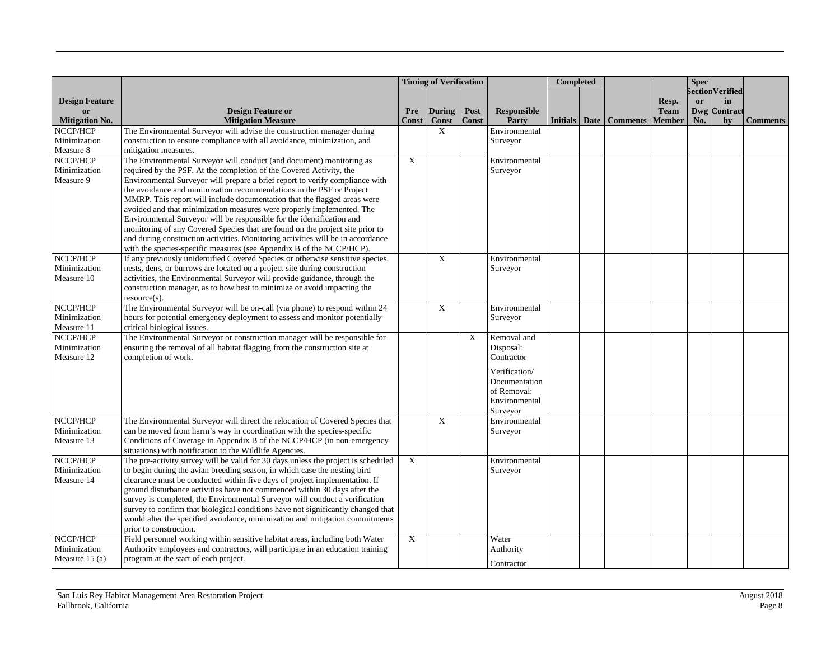|                                   |                                                                                                                                                        |                | <b>Timing of Verification</b> |                           |                           | <b>Completed</b> |                            |               | <b>Spec</b> |                         |                 |
|-----------------------------------|--------------------------------------------------------------------------------------------------------------------------------------------------------|----------------|-------------------------------|---------------------------|---------------------------|------------------|----------------------------|---------------|-------------|-------------------------|-----------------|
|                                   |                                                                                                                                                        |                |                               |                           |                           |                  |                            |               |             | <b>Section Verified</b> |                 |
| <b>Design Feature</b>             |                                                                                                                                                        |                |                               |                           |                           |                  |                            | Resp.         | <b>or</b>   | in                      |                 |
| or                                | <b>Design Feature or</b>                                                                                                                               | Pre            | <b>During</b>                 | Post                      | <b>Responsible</b>        |                  |                            | <b>Team</b>   | Dwg (       | <b>'ontrac</b> t        |                 |
| <b>Mitigation No.</b><br>NCCP/HCP | <b>Mitigation Measure</b>                                                                                                                              | Const          | Const<br>X                    | Const                     | Party                     |                  | Initials   Date   Comments | <b>Member</b> | No.         | by                      | <b>Comments</b> |
| Minimization                      | The Environmental Surveyor will advise the construction manager during<br>construction to ensure compliance with all avoidance, minimization, and      |                |                               |                           | Environmental<br>Surveyor |                  |                            |               |             |                         |                 |
| Measure 8                         | mitigation measures.                                                                                                                                   |                |                               |                           |                           |                  |                            |               |             |                         |                 |
| NCCP/HCP                          | The Environmental Surveyor will conduct (and document) monitoring as                                                                                   | X              |                               |                           | Environmental             |                  |                            |               |             |                         |                 |
| Minimization                      | required by the PSF. At the completion of the Covered Activity, the                                                                                    |                |                               |                           | Surveyor                  |                  |                            |               |             |                         |                 |
| Measure 9                         | Environmental Surveyor will prepare a brief report to verify compliance with                                                                           |                |                               |                           |                           |                  |                            |               |             |                         |                 |
|                                   | the avoidance and minimization recommendations in the PSF or Project                                                                                   |                |                               |                           |                           |                  |                            |               |             |                         |                 |
|                                   | MMRP. This report will include documentation that the flagged areas were                                                                               |                |                               |                           |                           |                  |                            |               |             |                         |                 |
|                                   | avoided and that minimization measures were properly implemented. The                                                                                  |                |                               |                           |                           |                  |                            |               |             |                         |                 |
|                                   | Environmental Surveyor will be responsible for the identification and                                                                                  |                |                               |                           |                           |                  |                            |               |             |                         |                 |
|                                   | monitoring of any Covered Species that are found on the project site prior to                                                                          |                |                               |                           |                           |                  |                            |               |             |                         |                 |
|                                   | and during construction activities. Monitoring activities will be in accordance                                                                        |                |                               |                           |                           |                  |                            |               |             |                         |                 |
|                                   | with the species-specific measures (see Appendix B of the NCCP/HCP).                                                                                   |                |                               |                           |                           |                  |                            |               |             |                         |                 |
| NCCP/HCP                          | If any previously unidentified Covered Species or otherwise sensitive species,                                                                         |                | X                             |                           | Environmental             |                  |                            |               |             |                         |                 |
| Minimization<br>Measure 10        | nests, dens, or burrows are located on a project site during construction<br>activities, the Environmental Surveyor will provide guidance, through the |                |                               |                           | Surveyor                  |                  |                            |               |             |                         |                 |
|                                   | construction manager, as to how best to minimize or avoid impacting the                                                                                |                |                               |                           |                           |                  |                            |               |             |                         |                 |
|                                   | $resource(s)$ .                                                                                                                                        |                |                               |                           |                           |                  |                            |               |             |                         |                 |
| NCCP/HCP                          | The Environmental Surveyor will be on-call (via phone) to respond within 24                                                                            |                | $\mathbf X$                   |                           | Environmental             |                  |                            |               |             |                         |                 |
| Minimization                      | hours for potential emergency deployment to assess and monitor potentially                                                                             |                |                               |                           | Surveyor                  |                  |                            |               |             |                         |                 |
| Measure 11                        | critical biological issues.                                                                                                                            |                |                               |                           |                           |                  |                            |               |             |                         |                 |
| NCCP/HCP                          | The Environmental Surveyor or construction manager will be responsible for                                                                             |                |                               | $\boldsymbol{\mathrm{X}}$ | Removal and               |                  |                            |               |             |                         |                 |
| Minimization                      | ensuring the removal of all habitat flagging from the construction site at                                                                             |                |                               |                           | Disposal:                 |                  |                            |               |             |                         |                 |
| Measure 12                        | completion of work.                                                                                                                                    |                |                               |                           | Contractor                |                  |                            |               |             |                         |                 |
|                                   |                                                                                                                                                        |                |                               |                           | Verification/             |                  |                            |               |             |                         |                 |
|                                   |                                                                                                                                                        |                |                               |                           | Documentation             |                  |                            |               |             |                         |                 |
|                                   |                                                                                                                                                        |                |                               |                           | of Removal:               |                  |                            |               |             |                         |                 |
|                                   |                                                                                                                                                        |                |                               |                           | Environmental             |                  |                            |               |             |                         |                 |
|                                   |                                                                                                                                                        |                |                               |                           | Surveyor                  |                  |                            |               |             |                         |                 |
| NCCP/HCP                          | The Environmental Surveyor will direct the relocation of Covered Species that                                                                          |                | X                             |                           | Environmental             |                  |                            |               |             |                         |                 |
| Minimization                      | can be moved from harm's way in coordination with the species-specific                                                                                 |                |                               |                           | Surveyor                  |                  |                            |               |             |                         |                 |
| Measure 13                        | Conditions of Coverage in Appendix B of the NCCP/HCP (in non-emergency<br>situations) with notification to the Wildlife Agencies.                      |                |                               |                           |                           |                  |                            |               |             |                         |                 |
| NCCP/HCP                          | The pre-activity survey will be valid for 30 days unless the project is scheduled                                                                      | $\overline{X}$ |                               |                           | Environmental             |                  |                            |               |             |                         |                 |
| Minimization                      | to begin during the avian breeding season, in which case the nesting bird                                                                              |                |                               |                           | Surveyor                  |                  |                            |               |             |                         |                 |
| Measure 14                        | clearance must be conducted within five days of project implementation. If                                                                             |                |                               |                           |                           |                  |                            |               |             |                         |                 |
|                                   | ground disturbance activities have not commenced within 30 days after the                                                                              |                |                               |                           |                           |                  |                            |               |             |                         |                 |
|                                   | survey is completed, the Environmental Surveyor will conduct a verification                                                                            |                |                               |                           |                           |                  |                            |               |             |                         |                 |
|                                   | survey to confirm that biological conditions have not significantly changed that                                                                       |                |                               |                           |                           |                  |                            |               |             |                         |                 |
|                                   | would alter the specified avoidance, minimization and mitigation commitments                                                                           |                |                               |                           |                           |                  |                            |               |             |                         |                 |
|                                   | prior to construction.                                                                                                                                 |                |                               |                           |                           |                  |                            |               |             |                         |                 |
| NCCP/HCP                          | Field personnel working within sensitive habitat areas, including both Water                                                                           | $\mathbf X$    |                               |                           | Water                     |                  |                            |               |             |                         |                 |
| Minimization                      | Authority employees and contractors, will participate in an education training                                                                         |                |                               |                           | Authority                 |                  |                            |               |             |                         |                 |
| Measure $15(a)$                   | program at the start of each project.                                                                                                                  |                |                               |                           | Contractor                |                  |                            |               |             |                         |                 |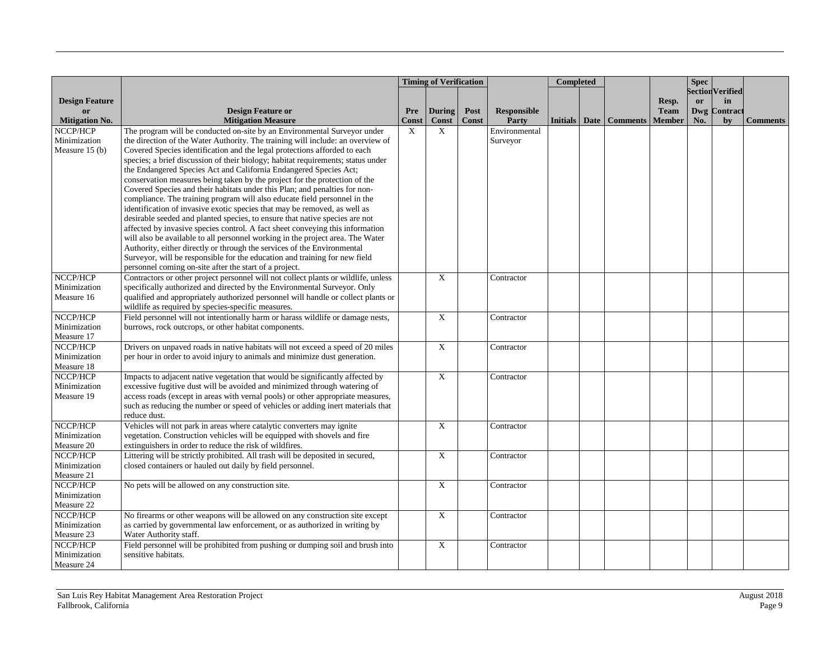|                                   |                                                                                                                                                               |            | <b>Timing of Verification</b> |       |                        | <b>Completed</b> |                            |               | <b>Spec</b> |                         |                 |
|-----------------------------------|---------------------------------------------------------------------------------------------------------------------------------------------------------------|------------|-------------------------------|-------|------------------------|------------------|----------------------------|---------------|-------------|-------------------------|-----------------|
|                                   |                                                                                                                                                               |            |                               |       |                        |                  |                            |               |             | <b>Section Verified</b> |                 |
| <b>Design Feature</b>             |                                                                                                                                                               |            |                               |       |                        |                  |                            | Resp.         | or          | in                      |                 |
| or                                | <b>Design Feature or</b>                                                                                                                                      | Pre        | <b>During</b>                 | Post  | <b>Responsible</b>     |                  |                            | <b>Team</b>   | Dwg         | <b>contrac</b> t        |                 |
| <b>Mitigation No.</b><br>NCCP/HCP | <b>Mitigation Measure</b><br>The program will be conducted on-site by an Environmental Surveyor under                                                         | Const<br>X | Const<br>$\mathbf X$          | Const | Party<br>Environmental |                  | Initials   Date   Comments | <b>Member</b> | No.         | by                      | <b>Comments</b> |
| Minimization                      | the direction of the Water Authority. The training will include: an overview of                                                                               |            |                               |       | Surveyor               |                  |                            |               |             |                         |                 |
| Measure 15 (b)                    | Covered Species identification and the legal protections afforded to each                                                                                     |            |                               |       |                        |                  |                            |               |             |                         |                 |
|                                   | species; a brief discussion of their biology; habitat requirements; status under                                                                              |            |                               |       |                        |                  |                            |               |             |                         |                 |
|                                   | the Endangered Species Act and California Endangered Species Act;                                                                                             |            |                               |       |                        |                  |                            |               |             |                         |                 |
|                                   | conservation measures being taken by the project for the protection of the                                                                                    |            |                               |       |                        |                  |                            |               |             |                         |                 |
|                                   | Covered Species and their habitats under this Plan; and penalties for non-                                                                                    |            |                               |       |                        |                  |                            |               |             |                         |                 |
|                                   | compliance. The training program will also educate field personnel in the                                                                                     |            |                               |       |                        |                  |                            |               |             |                         |                 |
|                                   | identification of invasive exotic species that may be removed, as well as                                                                                     |            |                               |       |                        |                  |                            |               |             |                         |                 |
|                                   | desirable seeded and planted species, to ensure that native species are not                                                                                   |            |                               |       |                        |                  |                            |               |             |                         |                 |
|                                   | affected by invasive species control. A fact sheet conveying this information                                                                                 |            |                               |       |                        |                  |                            |               |             |                         |                 |
|                                   | will also be available to all personnel working in the project area. The Water                                                                                |            |                               |       |                        |                  |                            |               |             |                         |                 |
|                                   | Authority, either directly or through the services of the Environmental                                                                                       |            |                               |       |                        |                  |                            |               |             |                         |                 |
|                                   | Surveyor, will be responsible for the education and training for new field                                                                                    |            |                               |       |                        |                  |                            |               |             |                         |                 |
|                                   | personnel coming on-site after the start of a project.                                                                                                        |            |                               |       |                        |                  |                            |               |             |                         |                 |
| NCCP/HCP<br>Minimization          | Contractors or other project personnel will not collect plants or wildlife, unless                                                                            |            | X                             |       | Contractor             |                  |                            |               |             |                         |                 |
| Measure 16                        | specifically authorized and directed by the Environmental Surveyor. Only<br>qualified and appropriately authorized personnel will handle or collect plants or |            |                               |       |                        |                  |                            |               |             |                         |                 |
|                                   | wildlife as required by species-specific measures.                                                                                                            |            |                               |       |                        |                  |                            |               |             |                         |                 |
| NCCP/HCP                          | Field personnel will not intentionally harm or harass wildlife or damage nests,                                                                               |            | X                             |       | Contractor             |                  |                            |               |             |                         |                 |
| Minimization                      | burrows, rock outcrops, or other habitat components.                                                                                                          |            |                               |       |                        |                  |                            |               |             |                         |                 |
| Measure 17                        |                                                                                                                                                               |            |                               |       |                        |                  |                            |               |             |                         |                 |
| NCCP/HCP                          | Drivers on unpaved roads in native habitats will not exceed a speed of 20 miles                                                                               |            | $\mathbf X$                   |       | Contractor             |                  |                            |               |             |                         |                 |
| Minimization                      | per hour in order to avoid injury to animals and minimize dust generation.                                                                                    |            |                               |       |                        |                  |                            |               |             |                         |                 |
| Measure 18                        |                                                                                                                                                               |            |                               |       |                        |                  |                            |               |             |                         |                 |
| NCCP/HCP                          | Impacts to adjacent native vegetation that would be significantly affected by                                                                                 |            | $\mathbf X$                   |       | Contractor             |                  |                            |               |             |                         |                 |
| Minimization                      | excessive fugitive dust will be avoided and minimized through watering of                                                                                     |            |                               |       |                        |                  |                            |               |             |                         |                 |
| Measure 19                        | access roads (except in areas with vernal pools) or other appropriate measures,                                                                               |            |                               |       |                        |                  |                            |               |             |                         |                 |
|                                   | such as reducing the number or speed of vehicles or adding inert materials that                                                                               |            |                               |       |                        |                  |                            |               |             |                         |                 |
|                                   | reduce dust.                                                                                                                                                  |            |                               |       |                        |                  |                            |               |             |                         |                 |
| NCCP/HCP                          | Vehicles will not park in areas where catalytic converters may ignite                                                                                         |            | X                             |       | Contractor             |                  |                            |               |             |                         |                 |
| Minimization                      | vegetation. Construction vehicles will be equipped with shovels and fire                                                                                      |            |                               |       |                        |                  |                            |               |             |                         |                 |
| Measure 20                        | extinguishers in order to reduce the risk of wildfires.                                                                                                       |            |                               |       |                        |                  |                            |               |             |                         |                 |
| NCCP/HCP                          | Littering will be strictly prohibited. All trash will be deposited in secured,                                                                                |            | X                             |       | Contractor             |                  |                            |               |             |                         |                 |
| Minimization                      | closed containers or hauled out daily by field personnel.                                                                                                     |            |                               |       |                        |                  |                            |               |             |                         |                 |
| Measure 21                        |                                                                                                                                                               |            |                               |       |                        |                  |                            |               |             |                         |                 |
| NCCP/HCP                          | No pets will be allowed on any construction site.                                                                                                             |            | X                             |       | Contractor             |                  |                            |               |             |                         |                 |
| Minimization                      |                                                                                                                                                               |            |                               |       |                        |                  |                            |               |             |                         |                 |
| Measure 22<br>NCCP/HCP            | No firearms or other weapons will be allowed on any construction site except                                                                                  |            | $\mathbf X$                   |       |                        |                  |                            |               |             |                         |                 |
| Minimization                      | as carried by governmental law enforcement, or as authorized in writing by                                                                                    |            |                               |       | Contractor             |                  |                            |               |             |                         |                 |
| Measure 23                        | Water Authority staff.                                                                                                                                        |            |                               |       |                        |                  |                            |               |             |                         |                 |
| NCCP/HCP                          | Field personnel will be prohibited from pushing or dumping soil and brush into                                                                                |            | X                             |       | Contractor             |                  |                            |               |             |                         |                 |
| Minimization                      | sensitive habitats.                                                                                                                                           |            |                               |       |                        |                  |                            |               |             |                         |                 |
| Measure 24                        |                                                                                                                                                               |            |                               |       |                        |                  |                            |               |             |                         |                 |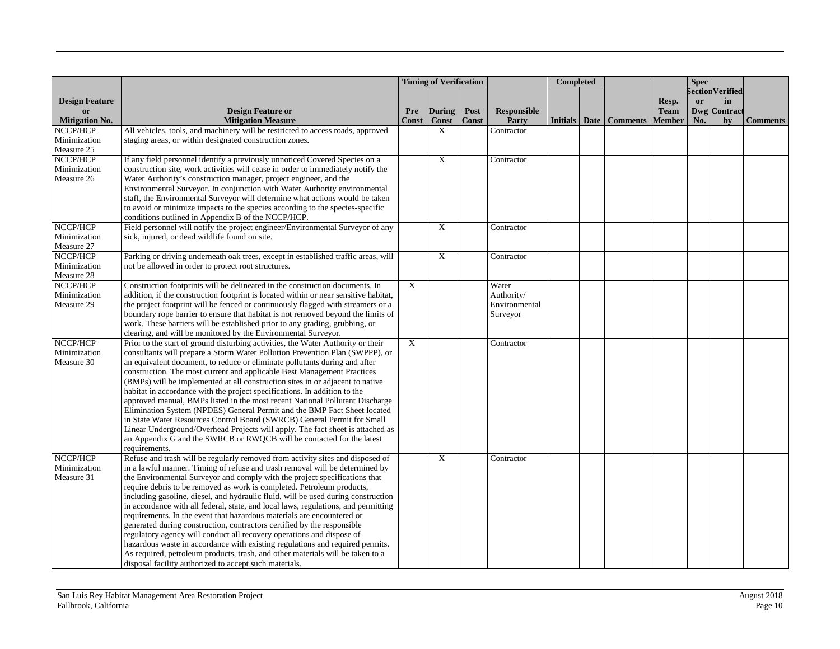|                                   |                                                                                                                                                           |                | <b>Timing of Verification</b> |       |                     | <b>Completed</b> |                            |               | <b>Spec</b> |                         |                 |
|-----------------------------------|-----------------------------------------------------------------------------------------------------------------------------------------------------------|----------------|-------------------------------|-------|---------------------|------------------|----------------------------|---------------|-------------|-------------------------|-----------------|
|                                   |                                                                                                                                                           |                |                               |       |                     |                  |                            |               |             | <b>Section Verified</b> |                 |
| <b>Design Feature</b>             |                                                                                                                                                           |                |                               |       |                     |                  |                            | Resp.         | or          | in                      |                 |
| or                                | <b>Design Feature or</b><br><b>Mitigation Measure</b>                                                                                                     | Pre            | <b>During</b><br><b>Const</b> | Post  | <b>Responsible</b>  |                  |                            | <b>Team</b>   | Dwg<br>No.  | <b>Contract</b>         | <b>Comments</b> |
| <b>Mitigation No.</b><br>NCCP/HCP | All vehicles, tools, and machinery will be restricted to access roads, approved                                                                           | Const          | $\mathbf X$                   | Const | Party<br>Contractor |                  | Initials   Date   Comments | <b>Member</b> |             | by                      |                 |
| Minimization                      | staging areas, or within designated construction zones.                                                                                                   |                |                               |       |                     |                  |                            |               |             |                         |                 |
| Measure 25                        |                                                                                                                                                           |                |                               |       |                     |                  |                            |               |             |                         |                 |
| NCCP/HCP                          | If any field personnel identify a previously unnoticed Covered Species on a                                                                               |                | X                             |       | Contractor          |                  |                            |               |             |                         |                 |
| Minimization                      | construction site, work activities will cease in order to immediately notify the                                                                          |                |                               |       |                     |                  |                            |               |             |                         |                 |
| Measure 26                        | Water Authority's construction manager, project engineer, and the                                                                                         |                |                               |       |                     |                  |                            |               |             |                         |                 |
|                                   | Environmental Surveyor. In conjunction with Water Authority environmental                                                                                 |                |                               |       |                     |                  |                            |               |             |                         |                 |
|                                   | staff, the Environmental Surveyor will determine what actions would be taken                                                                              |                |                               |       |                     |                  |                            |               |             |                         |                 |
|                                   | to avoid or minimize impacts to the species according to the species-specific                                                                             |                |                               |       |                     |                  |                            |               |             |                         |                 |
| NCCP/HCP                          | conditions outlined in Appendix B of the NCCP/HCP.<br>Field personnel will notify the project engineer/Environmental Surveyor of any                      |                | X                             |       |                     |                  |                            |               |             |                         |                 |
| Minimization                      | sick, injured, or dead wildlife found on site.                                                                                                            |                |                               |       | Contractor          |                  |                            |               |             |                         |                 |
| Measure 27                        |                                                                                                                                                           |                |                               |       |                     |                  |                            |               |             |                         |                 |
| NCCP/HCP                          | Parking or driving underneath oak trees, except in established traffic areas, will                                                                        |                | X                             |       | Contractor          |                  |                            |               |             |                         |                 |
| Minimization                      | not be allowed in order to protect root structures.                                                                                                       |                |                               |       |                     |                  |                            |               |             |                         |                 |
| Measure 28                        |                                                                                                                                                           |                |                               |       |                     |                  |                            |               |             |                         |                 |
| NCCP/HCP                          | Construction footprints will be delineated in the construction documents. In                                                                              | X              |                               |       | Water               |                  |                            |               |             |                         |                 |
| Minimization                      | addition, if the construction footprint is located within or near sensitive habitat,                                                                      |                |                               |       | Authority/          |                  |                            |               |             |                         |                 |
| Measure 29                        | the project footprint will be fenced or continuously flagged with streamers or a                                                                          |                |                               |       | Environmental       |                  |                            |               |             |                         |                 |
|                                   | boundary rope barrier to ensure that habitat is not removed beyond the limits of                                                                          |                |                               |       | Surveyor            |                  |                            |               |             |                         |                 |
|                                   | work. These barriers will be established prior to any grading, grubbing, or<br>clearing, and will be monitored by the Environmental Surveyor.             |                |                               |       |                     |                  |                            |               |             |                         |                 |
| NCCP/HCP                          | Prior to the start of ground disturbing activities, the Water Authority or their                                                                          | $\overline{X}$ |                               |       | Contractor          |                  |                            |               |             |                         |                 |
| Minimization                      | consultants will prepare a Storm Water Pollution Prevention Plan (SWPPP), or                                                                              |                |                               |       |                     |                  |                            |               |             |                         |                 |
| Measure 30                        | an equivalent document, to reduce or eliminate pollutants during and after                                                                                |                |                               |       |                     |                  |                            |               |             |                         |                 |
|                                   | construction. The most current and applicable Best Management Practices                                                                                   |                |                               |       |                     |                  |                            |               |             |                         |                 |
|                                   | (BMPs) will be implemented at all construction sites in or adjacent to native                                                                             |                |                               |       |                     |                  |                            |               |             |                         |                 |
|                                   | habitat in accordance with the project specifications. In addition to the                                                                                 |                |                               |       |                     |                  |                            |               |             |                         |                 |
|                                   | approved manual, BMPs listed in the most recent National Pollutant Discharge                                                                              |                |                               |       |                     |                  |                            |               |             |                         |                 |
|                                   | Elimination System (NPDES) General Permit and the BMP Fact Sheet located                                                                                  |                |                               |       |                     |                  |                            |               |             |                         |                 |
|                                   | in State Water Resources Control Board (SWRCB) General Permit for Small<br>Linear Underground/Overhead Projects will apply. The fact sheet is attached as |                |                               |       |                     |                  |                            |               |             |                         |                 |
|                                   | an Appendix G and the SWRCB or RWQCB will be contacted for the latest                                                                                     |                |                               |       |                     |                  |                            |               |             |                         |                 |
|                                   | requirements.                                                                                                                                             |                |                               |       |                     |                  |                            |               |             |                         |                 |
| NCCP/HCP                          | Refuse and trash will be regularly removed from activity sites and disposed of                                                                            |                | X                             |       | Contractor          |                  |                            |               |             |                         |                 |
| Minimization                      | in a lawful manner. Timing of refuse and trash removal will be determined by                                                                              |                |                               |       |                     |                  |                            |               |             |                         |                 |
| Measure 31                        | the Environmental Surveyor and comply with the project specifications that                                                                                |                |                               |       |                     |                  |                            |               |             |                         |                 |
|                                   | require debris to be removed as work is completed. Petroleum products,                                                                                    |                |                               |       |                     |                  |                            |               |             |                         |                 |
|                                   | including gasoline, diesel, and hydraulic fluid, will be used during construction                                                                         |                |                               |       |                     |                  |                            |               |             |                         |                 |
|                                   | in accordance with all federal, state, and local laws, regulations, and permitting                                                                        |                |                               |       |                     |                  |                            |               |             |                         |                 |
|                                   | requirements. In the event that hazardous materials are encountered or<br>generated during construction, contractors certified by the responsible         |                |                               |       |                     |                  |                            |               |             |                         |                 |
|                                   | regulatory agency will conduct all recovery operations and dispose of                                                                                     |                |                               |       |                     |                  |                            |               |             |                         |                 |
|                                   | hazardous waste in accordance with existing regulations and required permits.                                                                             |                |                               |       |                     |                  |                            |               |             |                         |                 |
|                                   | As required, petroleum products, trash, and other materials will be taken to a                                                                            |                |                               |       |                     |                  |                            |               |             |                         |                 |
|                                   | disposal facility authorized to accept such materials.                                                                                                    |                |                               |       |                     |                  |                            |               |             |                         |                 |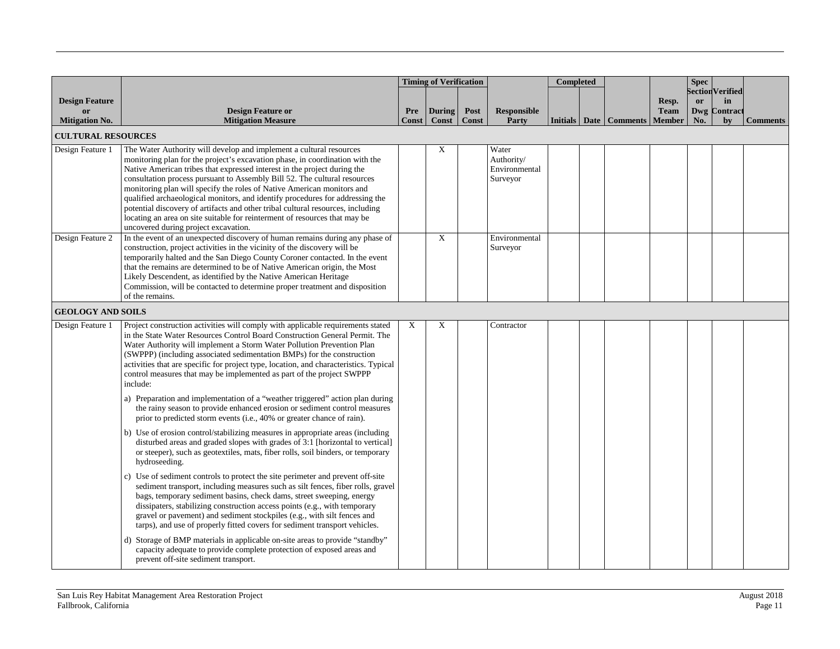|                             |                                                                                                                                                       |              | <b>Timing of Verification</b> |       |                    | <b>Completed</b> |                                     |                      | <b>Spec</b>   |                           |                 |
|-----------------------------|-------------------------------------------------------------------------------------------------------------------------------------------------------|--------------|-------------------------------|-------|--------------------|------------------|-------------------------------------|----------------------|---------------|---------------------------|-----------------|
|                             |                                                                                                                                                       |              |                               |       |                    |                  |                                     |                      |               | <b>SectionVerified</b>    |                 |
| <b>Design Feature</b><br>or | <b>Design Feature or</b>                                                                                                                              | <b>Pre</b>   | During                        | Post  | <b>Responsible</b> |                  |                                     | Resp.<br><b>Team</b> | <sub>or</sub> | in<br><b>Dwg</b> Contract |                 |
| <b>Mitigation No.</b>       | <b>Mitigation Measure</b>                                                                                                                             | <b>Const</b> | Const                         | Const | Party              |                  | Initials   Date   Comments   Member |                      | No.           | by                        | <b>Comments</b> |
| <b>CULTURAL RESOURCES</b>   |                                                                                                                                                       |              |                               |       |                    |                  |                                     |                      |               |                           |                 |
| Design Feature 1            | The Water Authority will develop and implement a cultural resources                                                                                   |              | X                             |       | Water              |                  |                                     |                      |               |                           |                 |
|                             | monitoring plan for the project's excavation phase, in coordination with the                                                                          |              |                               |       | Authority/         |                  |                                     |                      |               |                           |                 |
|                             | Native American tribes that expressed interest in the project during the                                                                              |              |                               |       | Environmental      |                  |                                     |                      |               |                           |                 |
|                             | consultation process pursuant to Assembly Bill 52. The cultural resources<br>monitoring plan will specify the roles of Native American monitors and   |              |                               |       | Surveyor           |                  |                                     |                      |               |                           |                 |
|                             | qualified archaeological monitors, and identify procedures for addressing the                                                                         |              |                               |       |                    |                  |                                     |                      |               |                           |                 |
|                             | potential discovery of artifacts and other tribal cultural resources, including                                                                       |              |                               |       |                    |                  |                                     |                      |               |                           |                 |
|                             | locating an area on site suitable for reinterment of resources that may be                                                                            |              |                               |       |                    |                  |                                     |                      |               |                           |                 |
|                             | uncovered during project excavation.                                                                                                                  |              |                               |       |                    |                  |                                     |                      |               |                           |                 |
| Design Feature 2            | In the event of an unexpected discovery of human remains during any phase of                                                                          |              | X                             |       | Environmental      |                  |                                     |                      |               |                           |                 |
|                             | construction, project activities in the vicinity of the discovery will be                                                                             |              |                               |       | Surveyor           |                  |                                     |                      |               |                           |                 |
|                             | temporarily halted and the San Diego County Coroner contacted. In the event                                                                           |              |                               |       |                    |                  |                                     |                      |               |                           |                 |
|                             | that the remains are determined to be of Native American origin, the Most                                                                             |              |                               |       |                    |                  |                                     |                      |               |                           |                 |
|                             | Likely Descendent, as identified by the Native American Heritage                                                                                      |              |                               |       |                    |                  |                                     |                      |               |                           |                 |
|                             | Commission, will be contacted to determine proper treatment and disposition<br>of the remains.                                                        |              |                               |       |                    |                  |                                     |                      |               |                           |                 |
| <b>GEOLOGY AND SOILS</b>    |                                                                                                                                                       |              |                               |       |                    |                  |                                     |                      |               |                           |                 |
|                             |                                                                                                                                                       |              |                               |       |                    |                  |                                     |                      |               |                           |                 |
| Design Feature 1            | Project construction activities will comply with applicable requirements stated                                                                       | X            | X                             |       | Contractor         |                  |                                     |                      |               |                           |                 |
|                             | in the State Water Resources Control Board Construction General Permit. The<br>Water Authority will implement a Storm Water Pollution Prevention Plan |              |                               |       |                    |                  |                                     |                      |               |                           |                 |
|                             | (SWPPP) (including associated sedimentation BMPs) for the construction                                                                                |              |                               |       |                    |                  |                                     |                      |               |                           |                 |
|                             | activities that are specific for project type, location, and characteristics. Typical                                                                 |              |                               |       |                    |                  |                                     |                      |               |                           |                 |
|                             | control measures that may be implemented as part of the project SWPPP                                                                                 |              |                               |       |                    |                  |                                     |                      |               |                           |                 |
|                             | include:                                                                                                                                              |              |                               |       |                    |                  |                                     |                      |               |                           |                 |
|                             | a) Preparation and implementation of a "weather triggered" action plan during                                                                         |              |                               |       |                    |                  |                                     |                      |               |                           |                 |
|                             | the rainy season to provide enhanced erosion or sediment control measures                                                                             |              |                               |       |                    |                  |                                     |                      |               |                           |                 |
|                             | prior to predicted storm events (i.e., 40% or greater chance of rain).                                                                                |              |                               |       |                    |                  |                                     |                      |               |                           |                 |
|                             | b) Use of erosion control/stabilizing measures in appropriate areas (including                                                                        |              |                               |       |                    |                  |                                     |                      |               |                           |                 |
|                             | disturbed areas and graded slopes with grades of 3:1 [horizontal to vertical]                                                                         |              |                               |       |                    |                  |                                     |                      |               |                           |                 |
|                             | or steeper), such as geotextiles, mats, fiber rolls, soil binders, or temporary                                                                       |              |                               |       |                    |                  |                                     |                      |               |                           |                 |
|                             | hydroseeding.                                                                                                                                         |              |                               |       |                    |                  |                                     |                      |               |                           |                 |
|                             | c) Use of sediment controls to protect the site perimeter and prevent off-site                                                                        |              |                               |       |                    |                  |                                     |                      |               |                           |                 |
|                             | sediment transport, including measures such as silt fences, fiber rolls, gravel                                                                       |              |                               |       |                    |                  |                                     |                      |               |                           |                 |
|                             | bags, temporary sediment basins, check dams, street sweeping, energy                                                                                  |              |                               |       |                    |                  |                                     |                      |               |                           |                 |
|                             | dissipaters, stabilizing construction access points (e.g., with temporary                                                                             |              |                               |       |                    |                  |                                     |                      |               |                           |                 |
|                             | gravel or pavement) and sediment stockpiles (e.g., with silt fences and                                                                               |              |                               |       |                    |                  |                                     |                      |               |                           |                 |
|                             | tarps), and use of properly fitted covers for sediment transport vehicles.                                                                            |              |                               |       |                    |                  |                                     |                      |               |                           |                 |
|                             | d) Storage of BMP materials in applicable on-site areas to provide "standby"                                                                          |              |                               |       |                    |                  |                                     |                      |               |                           |                 |
|                             | capacity adequate to provide complete protection of exposed areas and                                                                                 |              |                               |       |                    |                  |                                     |                      |               |                           |                 |
|                             | prevent off-site sediment transport.                                                                                                                  |              |                               |       |                    |                  |                                     |                      |               |                           |                 |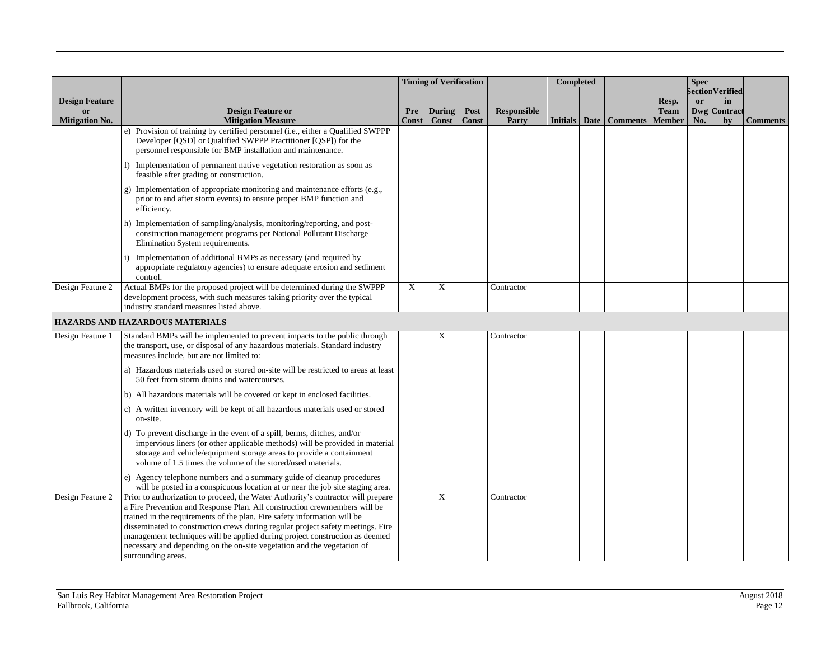|                                                      |                                                                                                                                                                                                                                                                                                                                                                                                                                                                                                              |                           | <b>Timing of Verification</b> |                      |                             | <b>Completed</b> |                                     |                      | <b>Spec</b>          |                                                           |                 |
|------------------------------------------------------|--------------------------------------------------------------------------------------------------------------------------------------------------------------------------------------------------------------------------------------------------------------------------------------------------------------------------------------------------------------------------------------------------------------------------------------------------------------------------------------------------------------|---------------------------|-------------------------------|----------------------|-----------------------------|------------------|-------------------------------------|----------------------|----------------------|-----------------------------------------------------------|-----------------|
| <b>Design Feature</b><br>or<br><b>Mitigation No.</b> | <b>Design Feature or</b><br><b>Mitigation Measure</b>                                                                                                                                                                                                                                                                                                                                                                                                                                                        | Pre<br>Const              | <b>During</b><br>Const        | Post<br><b>Const</b> | <b>Responsible</b><br>Party |                  | Initials   Date   Comments   Member | Resp.<br><b>Team</b> | <sub>or</sub><br>No. | <b>SectionVerified</b><br>in<br><b>Dwg</b> Contract<br>by | <b>Comments</b> |
|                                                      | e) Provision of training by certified personnel (i.e., either a Qualified SWPPP<br>Developer [QSD] or Qualified SWPPP Practitioner [QSP]) for the<br>personnel responsible for BMP installation and maintenance.                                                                                                                                                                                                                                                                                             |                           |                               |                      |                             |                  |                                     |                      |                      |                                                           |                 |
|                                                      | f) Implementation of permanent native vegetation restoration as soon as<br>feasible after grading or construction.                                                                                                                                                                                                                                                                                                                                                                                           |                           |                               |                      |                             |                  |                                     |                      |                      |                                                           |                 |
|                                                      | g) Implementation of appropriate monitoring and maintenance efforts (e.g.,<br>prior to and after storm events) to ensure proper BMP function and<br>efficiency.                                                                                                                                                                                                                                                                                                                                              |                           |                               |                      |                             |                  |                                     |                      |                      |                                                           |                 |
|                                                      | h) Implementation of sampling/analysis, monitoring/reporting, and post-<br>construction management programs per National Pollutant Discharge<br>Elimination System requirements.                                                                                                                                                                                                                                                                                                                             |                           |                               |                      |                             |                  |                                     |                      |                      |                                                           |                 |
|                                                      | i) Implementation of additional BMPs as necessary (and required by<br>appropriate regulatory agencies) to ensure adequate erosion and sediment<br>control.                                                                                                                                                                                                                                                                                                                                                   |                           |                               |                      |                             |                  |                                     |                      |                      |                                                           |                 |
| Design Feature 2                                     | Actual BMPs for the proposed project will be determined during the SWPPP<br>development process, with such measures taking priority over the typical<br>industry standard measures listed above.                                                                                                                                                                                                                                                                                                             | $\boldsymbol{\mathrm{X}}$ | $\boldsymbol{\mathrm{X}}$     |                      | Contractor                  |                  |                                     |                      |                      |                                                           |                 |
|                                                      | <b>HAZARDS AND HAZARDOUS MATERIALS</b>                                                                                                                                                                                                                                                                                                                                                                                                                                                                       |                           |                               |                      |                             |                  |                                     |                      |                      |                                                           |                 |
| Design Feature 1                                     | Standard BMPs will be implemented to prevent impacts to the public through<br>the transport, use, or disposal of any hazardous materials. Standard industry<br>measures include, but are not limited to:                                                                                                                                                                                                                                                                                                     |                           | X                             |                      | Contractor                  |                  |                                     |                      |                      |                                                           |                 |
|                                                      | a) Hazardous materials used or stored on-site will be restricted to areas at least<br>50 feet from storm drains and watercourses.                                                                                                                                                                                                                                                                                                                                                                            |                           |                               |                      |                             |                  |                                     |                      |                      |                                                           |                 |
|                                                      | b) All hazardous materials will be covered or kept in enclosed facilities.                                                                                                                                                                                                                                                                                                                                                                                                                                   |                           |                               |                      |                             |                  |                                     |                      |                      |                                                           |                 |
|                                                      | c) A written inventory will be kept of all hazardous materials used or stored<br>on-site.                                                                                                                                                                                                                                                                                                                                                                                                                    |                           |                               |                      |                             |                  |                                     |                      |                      |                                                           |                 |
|                                                      | d) To prevent discharge in the event of a spill, berms, ditches, and/or<br>impervious liners (or other applicable methods) will be provided in material<br>storage and vehicle/equipment storage areas to provide a containment<br>volume of 1.5 times the volume of the stored/used materials.                                                                                                                                                                                                              |                           |                               |                      |                             |                  |                                     |                      |                      |                                                           |                 |
|                                                      | e) Agency telephone numbers and a summary guide of cleanup procedures<br>will be posted in a conspicuous location at or near the job site staging area.                                                                                                                                                                                                                                                                                                                                                      |                           |                               |                      |                             |                  |                                     |                      |                      |                                                           |                 |
| Design Feature 2                                     | Prior to authorization to proceed, the Water Authority's contractor will prepare<br>a Fire Prevention and Response Plan. All construction crewmembers will be<br>trained in the requirements of the plan. Fire safety information will be<br>disseminated to construction crews during regular project safety meetings. Fire<br>management techniques will be applied during project construction as deemed<br>necessary and depending on the on-site vegetation and the vegetation of<br>surrounding areas. |                           | X                             |                      | Contractor                  |                  |                                     |                      |                      |                                                           |                 |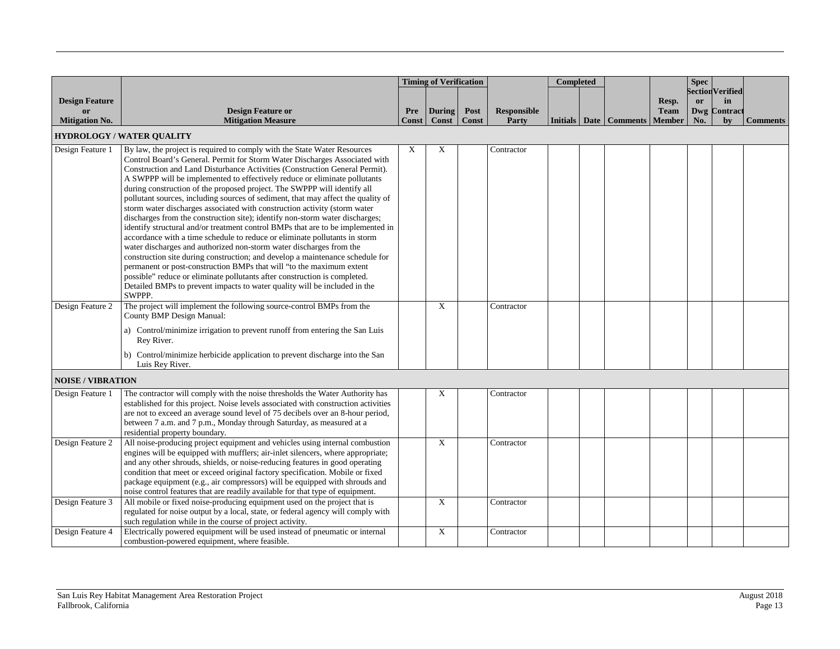|                          |                                                                                                                                                                                                                                                                                                                                                                                                                                                                                                                                                                                                                                                                                                                                                                                                                                                                                                                                                                                                                                                                                                                               |              | <b>Timing of Verification</b> |       |                    | <b>Completed</b> |                                     |             | <b>Spec</b> |                         |                 |
|--------------------------|-------------------------------------------------------------------------------------------------------------------------------------------------------------------------------------------------------------------------------------------------------------------------------------------------------------------------------------------------------------------------------------------------------------------------------------------------------------------------------------------------------------------------------------------------------------------------------------------------------------------------------------------------------------------------------------------------------------------------------------------------------------------------------------------------------------------------------------------------------------------------------------------------------------------------------------------------------------------------------------------------------------------------------------------------------------------------------------------------------------------------------|--------------|-------------------------------|-------|--------------------|------------------|-------------------------------------|-------------|-------------|-------------------------|-----------------|
|                          |                                                                                                                                                                                                                                                                                                                                                                                                                                                                                                                                                                                                                                                                                                                                                                                                                                                                                                                                                                                                                                                                                                                               |              |                               |       |                    |                  |                                     |             |             | <b>Section Verified</b> |                 |
| <b>Design Feature</b>    |                                                                                                                                                                                                                                                                                                                                                                                                                                                                                                                                                                                                                                                                                                                                                                                                                                                                                                                                                                                                                                                                                                                               |              |                               |       |                    |                  |                                     | Resp.       | or          | in                      |                 |
| or                       | <b>Design Feature or</b>                                                                                                                                                                                                                                                                                                                                                                                                                                                                                                                                                                                                                                                                                                                                                                                                                                                                                                                                                                                                                                                                                                      | Pre          | <b>During</b>                 | Post  | <b>Responsible</b> |                  |                                     | <b>Team</b> |             | Dwg Contract            |                 |
| <b>Mitigation No.</b>    | <b>Mitigation Measure</b>                                                                                                                                                                                                                                                                                                                                                                                                                                                                                                                                                                                                                                                                                                                                                                                                                                                                                                                                                                                                                                                                                                     | <b>Const</b> | Const                         | Const | Party              |                  | Initials   Date   Comments   Member |             | No.         | by                      | <b>Comments</b> |
|                          | <b>HYDROLOGY / WATER QUALITY</b>                                                                                                                                                                                                                                                                                                                                                                                                                                                                                                                                                                                                                                                                                                                                                                                                                                                                                                                                                                                                                                                                                              |              |                               |       |                    |                  |                                     |             |             |                         |                 |
| Design Feature 1         | By law, the project is required to comply with the State Water Resources<br>Control Board's General. Permit for Storm Water Discharges Associated with<br>Construction and Land Disturbance Activities (Construction General Permit).<br>A SWPPP will be implemented to effectively reduce or eliminate pollutants<br>during construction of the proposed project. The SWPPP will identify all<br>pollutant sources, including sources of sediment, that may affect the quality of<br>storm water discharges associated with construction activity (storm water<br>discharges from the construction site); identify non-storm water discharges;<br>identify structural and/or treatment control BMPs that are to be implemented in<br>accordance with a time schedule to reduce or eliminate pollutants in storm<br>water discharges and authorized non-storm water discharges from the<br>construction site during construction; and develop a maintenance schedule for<br>permanent or post-construction BMPs that will "to the maximum extent<br>possible" reduce or eliminate pollutants after construction is completed. | $\mathbf X$  | X                             |       | Contractor         |                  |                                     |             |             |                         |                 |
|                          | Detailed BMPs to prevent impacts to water quality will be included in the<br>SWPPP.                                                                                                                                                                                                                                                                                                                                                                                                                                                                                                                                                                                                                                                                                                                                                                                                                                                                                                                                                                                                                                           |              |                               |       |                    |                  |                                     |             |             |                         |                 |
| Design Feature 2         | The project will implement the following source-control BMPs from the<br>County BMP Design Manual:                                                                                                                                                                                                                                                                                                                                                                                                                                                                                                                                                                                                                                                                                                                                                                                                                                                                                                                                                                                                                            |              | X                             |       | Contractor         |                  |                                     |             |             |                         |                 |
|                          | a) Control/minimize irrigation to prevent runoff from entering the San Luis<br>Rey River.                                                                                                                                                                                                                                                                                                                                                                                                                                                                                                                                                                                                                                                                                                                                                                                                                                                                                                                                                                                                                                     |              |                               |       |                    |                  |                                     |             |             |                         |                 |
|                          | b) Control/minimize herbicide application to prevent discharge into the San<br>Luis Rey River.                                                                                                                                                                                                                                                                                                                                                                                                                                                                                                                                                                                                                                                                                                                                                                                                                                                                                                                                                                                                                                |              |                               |       |                    |                  |                                     |             |             |                         |                 |
| <b>NOISE / VIBRATION</b> |                                                                                                                                                                                                                                                                                                                                                                                                                                                                                                                                                                                                                                                                                                                                                                                                                                                                                                                                                                                                                                                                                                                               |              |                               |       |                    |                  |                                     |             |             |                         |                 |
| Design Feature 1         | The contractor will comply with the noise thresholds the Water Authority has<br>established for this project. Noise levels associated with construction activities<br>are not to exceed an average sound level of 75 decibels over an 8-hour period,<br>between 7 a.m. and 7 p.m., Monday through Saturday, as measured at a<br>residential property boundary.                                                                                                                                                                                                                                                                                                                                                                                                                                                                                                                                                                                                                                                                                                                                                                |              | X                             |       | Contractor         |                  |                                     |             |             |                         |                 |
| Design Feature 2         | All noise-producing project equipment and vehicles using internal combustion<br>engines will be equipped with mufflers; air-inlet silencers, where appropriate;<br>and any other shrouds, shields, or noise-reducing features in good operating<br>condition that meet or exceed original factory specification. Mobile or fixed<br>package equipment (e.g., air compressors) will be equipped with shrouds and<br>noise control features that are readily available for that type of equipment.                                                                                                                                                                                                                                                                                                                                                                                                                                                                                                                                                                                                                              |              | $\mathbf X$                   |       | Contractor         |                  |                                     |             |             |                         |                 |
| Design Feature 3         | All mobile or fixed noise-producing equipment used on the project that is<br>regulated for noise output by a local, state, or federal agency will comply with<br>such regulation while in the course of project activity.                                                                                                                                                                                                                                                                                                                                                                                                                                                                                                                                                                                                                                                                                                                                                                                                                                                                                                     |              | X                             |       | Contractor         |                  |                                     |             |             |                         |                 |
| Design Feature 4         | Electrically powered equipment will be used instead of pneumatic or internal<br>combustion-powered equipment, where feasible.                                                                                                                                                                                                                                                                                                                                                                                                                                                                                                                                                                                                                                                                                                                                                                                                                                                                                                                                                                                                 |              | $\boldsymbol{\mathrm{X}}$     |       | Contractor         |                  |                                     |             |             |                         |                 |